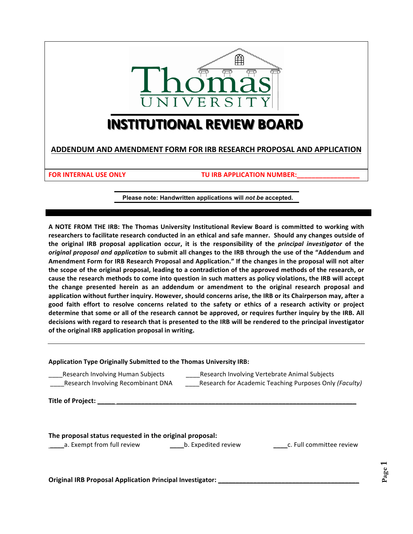

# **INSTITUTIONAL REVIEW BOARD**

**ADDENDUM AND AMENDMENT FORM FOR IRB RESEARCH PROPOSAL AND APPLICATION** 

**FOR INTERNAL USE ONLY TU IRB APPLICATION NUMBER:** 

**Please note: Handwritten applications will** *not be* **accepted.**

A NOTE FROM THE IRB: The Thomas University Institutional Review Board is committed to working with researchers to facilitate research conducted in an ethical and safe manner. Should any changes outside of the original IRB proposal application occur, it is the responsibility of the *principal investigator* of the *original proposal and application* to submit all changes to the IRB through the use of the "Addendum and Amendment Form for IRB Research Proposal and Application." If the changes in the proposal will not alter the scope of the original proposal, leading to a contradiction of the approved methods of the research, or cause the research methods to come into question in such matters as policy violations, the IRB will accept the change presented herein as an addendum or amendment to the original research proposal and application without further inquiry. However, should concerns arise, the IRB or its Chairperson may, after a good faith effort to resolve concerns related to the safety or ethics of a research activity or project determine that some or all of the research cannot be approved, or requires further inquiry by the IRB. All decisions with regard to research that is presented to the IRB will be rendered to the principal investigator of the original IRB application proposal in writing.

| <b>Application Type Originally Submitted to the Thomas University IRB:</b>                              |  |  |
|---------------------------------------------------------------------------------------------------------|--|--|
| Research Involving Vertebrate Animal Subjects<br>Research for Academic Teaching Purposes Only (Faculty) |  |  |
|                                                                                                         |  |  |
| c. Full committee review                                                                                |  |  |
|                                                                                                         |  |  |

**Original IRB Proposal Application Principal Investigator: \_\_\_\_\_\_\_\_\_\_\_\_\_\_\_\_\_\_\_\_**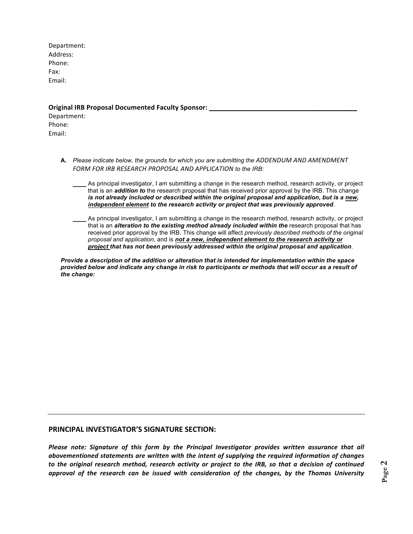Department: Address: Phone: Fax: Email:

#### **Original IRB Proposal Documented Faculty Sponsor: \_\_\_\_\_\_\_\_\_\_\_\_\_\_\_\_\_\_\_\_\_\_\_\_\_\_\_\_\_\_**

Department: Phone: Email: 

- **A.** *Please indicate below, the grounds for which you are submitting the ADDENDUM AND AMENDMENT*  FORM FOR IRB RESEARCH PROPOSAL AND APPLICATION to the IRB:
	- As principal investigator, I am submitting a change in the research method, research activity, or project that is an *addition to* the research proposal that has received prior approval by the IRB. This change *is not already included or described within the original proposal and application, but is a new, independent element to the research activity or project that was previously approved*.
	- As principal investigator, I am submitting a change in the research method, research activity, or project that is an *alteration to the existing method already included within the* research proposal that has received prior approval by the IRB. This change will affect *previously described methods of the original proposal and application*, and is *not a new, independent element to the research activity or project that has not been previously addressed within the original proposal and application*.

*Provide a description of the addition or alteration that is intended for implementation within the space provided below and indicate any change in risk to participants or methods that will occur as a result of the change:* 

#### **PRINCIPAL INVESTIGATOR'S SIGNATURE SECTION:**

*Please note: Signature of this form by the Principal Investigator provides written assurance that all* abovementioned statements are written with the intent of supplying the required information of changes *to* the original research method, research activity or project to the IRB, so that a decision of continued *approval* of the research can be issued with consideration of the changes, by the Thomas University